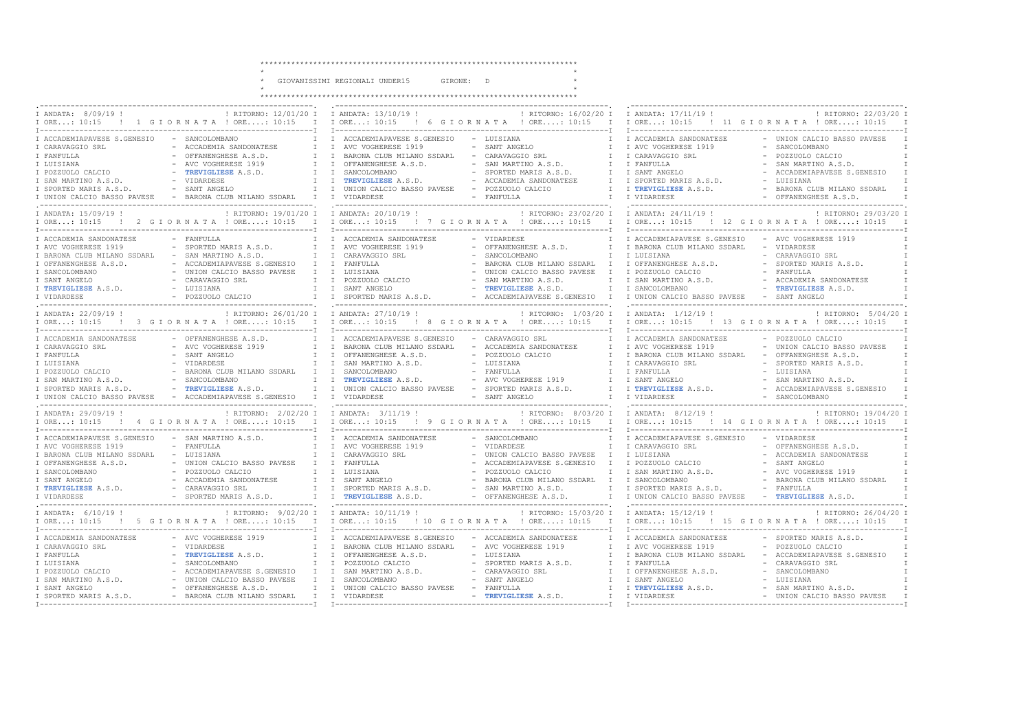..

 $\sim$   $^{-1}$   $\times$ 

 $\rightarrow$ 

 $\star$ 

\* GIOVANISSIMI REGIONALI UNDER15 GIRONE: D

 $\star$ 

| I ANDATA: 8/09/19 !<br>IORE: 10:15 ! 1 GIORNATA ! ORE: 10:15 I IORE: 10:15 ! 6 GIORNATA ! ORE: 10:15 I IORE: 10:15 ! 11 GIORNATA ! ORE: 10:15                                                                                                                                                                                                                                                                                                                                                                                               | : RITORNO: $12/01/20$ I I ANDATA: $13/10/19$ !                                                                                                                                                                                                                                                                                                                                                            | ! RITORNO: 16/02/20 I I ANDATA: 17/11/19 !<br>! RITORNO: 22/03/20 I                                                                                                                                                                                                                                                                                                            |  |  |
|---------------------------------------------------------------------------------------------------------------------------------------------------------------------------------------------------------------------------------------------------------------------------------------------------------------------------------------------------------------------------------------------------------------------------------------------------------------------------------------------------------------------------------------------|-----------------------------------------------------------------------------------------------------------------------------------------------------------------------------------------------------------------------------------------------------------------------------------------------------------------------------------------------------------------------------------------------------------|--------------------------------------------------------------------------------------------------------------------------------------------------------------------------------------------------------------------------------------------------------------------------------------------------------------------------------------------------------------------------------|--|--|
| I ACCADEMIAPAVESE S.GENESIO - SANCOLOMBANO<br>I CARAVAGGIO SRL<br>- ACCADEMIA SANDONATESE<br>I FANFULLA<br>- OFFANENGHESE A.S.D.<br>I LUISIANA<br>- AVC VOGHERESE 1919<br>- TREVIGLIESE A.S.D.<br>I POZZUOLO CALCIO<br>I SAN MARTINO A.S.D.<br>- VIDARDESE<br>I SPORTED MARIS A.S.D.<br>- SANT ANGELO<br>I UNION CALCIO BASSO PAVESE - BARONA CLUB MILANO SSDARL I I VIDARDESE                                                                                                                                                              | I I ACCADEMIAPAVESE S.GENESIO - LUISIANA<br>- SANT ANGELO<br>I I AVC VOGHERESE 1919<br>- CARAVAGGIO SRL<br>I I BARONA CLUB MILANO SSDARL<br>T<br>I I OFFANENGHESE A.S.D.<br>- SAN MARTINO A.S.D.<br>T<br>I I SANCOLOMBANO<br>- SPORTED MARIS A.S.D.<br>$\mathbb{I}$<br>I I TREVIGLIESE A.S.D.<br>- ACCADEMIA SANDONATESE<br>I I UNION CALCIO BASSO PAVESE - POZZUOLO CALCIO<br>$\mathbb{I}$<br>- FANFULLA | - UNION CALCIO BASSO PAVESE<br>I I ACCADEMIA SANDONATESE<br>- SANCOLOMBANO<br>I I AVC VOGHERESE 1919<br>- POZZUOLO CALCIO<br>I CARAVAGGIO SRL<br>I FANFULLA<br>- SAN MARTINO A.S.D.<br>- ACCADEMIAPAVESE S.GENESIO<br>I SANT ANGELO<br>I I SPORTED MARIS A.S.D.<br>- LUISIANA<br>- BARONA CLUB MILANO SSDARL<br>I TREVIGLIESE A.S.D.<br>- OFFANENGHESE A.S.D.<br>I I VIDARDESE |  |  |
| I ANDATA: 15/09/19 !<br>IORE: 10:15 ! 2 GIORNATA ! ORE: 10:15 I IORE: 10:15 ! 7 GIORNATA ! ORE: 10:15 : 10:15 ! 12 GIORNATA ! ORE: 10:15                                                                                                                                                                                                                                                                                                                                                                                                    | ! RITORNO: 19/01/20 I I ANDATA: 20/10/19 !                                                                                                                                                                                                                                                                                                                                                                | ! RITORNO: 23/02/20 I I ANDATA: 24/11/19 !<br>! RITORNO: 29/03/20 I                                                                                                                                                                                                                                                                                                            |  |  |
| I ACCADEMIA SANDONATESE<br>- FANFULLA<br>- SPORTED MARIS A.S.D.<br>I AVC VOGHERESE 1919<br>$-$ SAN MARTINO A.S.D.<br>I BARONA CLUB MILANO SSDARL<br>I OFFANENGHESE A.S.D.<br>- ACCADEMIAPAVESE S.GENESIO I I FANFULLA<br>I SANCOLOMBANO<br>- UNION CALCIO BASSO PAVESE                                                                                                                                                                                                                                                                      | I I ACCADEMIA SANDONATESE<br>T<br>- VIDARDESE<br>I I AVC VOGHERESE 1919<br>- OFFANENGHESE A.S.D.<br>I I CARAVAGGIO SRL<br>- SANCOLOMBANO<br>T<br>- BARONA CLUB MILANO SSDARL I I OFFANENGHESE A.S.D.<br>I I LUISIANA<br>- UNION CALCIO BASSO PAVESE I                                                                                                                                                     | I ACCADEMIAPAVESE S.GENESIO<br>- AVC VOGHERESE 1919<br>I I BARONA CLUB MILANO SSDARL<br>- VIDARDESE<br>- CARAVAGGIO SRL<br>I LUISIANA<br>- SPORTED MARIS A.S.D.<br>I POZZUOLO CALCIO<br>- FANFULLA                                                                                                                                                                             |  |  |
| I ANDATA: 22/09/19 !                                                                                                                                                                                                                                                                                                                                                                                                                                                                                                                        | ! RITORNO: 5/04/20 I<br>IORE: 10:15 ! 3 GIORNATA ! ORE: 10:15 I IORE: 10:15 ! 8 GIORNATA ! ORE: 10:15 ! 10:15 ! 13 GIORNATA ! ORE: 10:15                                                                                                                                                                                                                                                                  |                                                                                                                                                                                                                                                                                                                                                                                |  |  |
| I ACCADEMIA SANDONATESE<br>I CARAVAGGIO SRL<br>- AVC VOGHERESE 1919<br>I FANFULLA<br>- SANT ANGELO<br>I LUISIANA<br>- VIDARDESE<br>I POZZUOLO CALCIO<br>- BARONA CLUB MILANO SSDARL I I SANCOLOMBANO<br>I SAN MARTINO A.S.D.<br>I SPORTED MARIS A.S.D.<br>I UNION CALCIO BASSO PAVESE - ACCADEMIAPAVESE S.GENESIO I I VIDARDESE                                                                                                                                                                                                             | - OFFANENGHESE A.S.D. I I ACCADEMIAPAVESE S.GENESIO - CARAVAGGIO SRL<br>I I BARONA CLUB MILANO SSDARL<br>- ACCADEMIA SANDONATESE<br>I I OFFANENGHESE A.S.D.<br>- POZZUOLO CALCIO<br>- LUISIANA<br>I I SAN MARTINO A.S.D.<br>T<br>- FANFULLA                                                                                                                                                               | I I ACCADEMIA SANDONATESE<br>- POZZUOLO CALCIO<br>I I AVC VOGHERESE 1919<br>- UNION CALCIO BASSO PAVESE<br>I I BARONA CLUB MILANO SSDARL<br>- OFFANENGHESE A.S.D.<br>I CARAVAGGIO SRL<br>- SPORTED MARIS A.S.D.<br>- LUISIANA<br>I I FANFULLA                                                                                                                                  |  |  |
| I ANDATA: 29/09/19 !<br>IORE: 10:15 ! 4 GIORNATA ! ORE: 10:15 I IORE: 10:15 ! 9 GIORNATA ! ORE: 10:15 I IORE: 10:15 ! 14 GIORNATA ! ORE: 10:15                                                                                                                                                                                                                                                                                                                                                                                              |                                                                                                                                                                                                                                                                                                                                                                                                           |                                                                                                                                                                                                                                                                                                                                                                                |  |  |
| - SAN MARTINO A.S.D.<br>I ACCADEMIAPAVESE S.GENESIO<br>I AVC VOGHERESE 1919<br>- FANFULLA<br>- LUISIANA<br>I BARONA CLUB MILANO SSDARL<br>- UNION CALCIO BASSO PAVESE I I FANFULLA<br>I OFFANENGHESE A.S.D.<br>I SANCOLOMBANO<br>- POZZUOLO CALCIO<br>I SANT ANGELO<br>TREVIGLIESE A.S.D. - ACCADEMIA SANDONATESE I I SANT ANGELO - BARONA CLUB MILANO SSDARL I I SANCOLOMBANO - BARONA CLUB MILANO SSDARL I TREVIGLIESE A.S.D. - CARAVAGGIO SRL I SPORTED MARIS A.S.D. I I SPORTED MARIS A.S.D. I I<br>I TREVIGLIESE A.S.D.<br>I VIDARDESE | I I ACCADEMIA SANDONATESE<br>- SANCOLOMBANO<br>$\mathbb{I}$<br>I I AVC VOGHERESE 1919<br>- VIDARDESE<br>$\mathbb{I}$<br>- UNION CALCIO BASSO PAVESE I I LUISIANA<br>I I CARAVAGGIO SRL<br>- ACCADEMIAPAVESE S.GENESIO<br>- POZZUOLO CALCIO<br>I I LUISIANA<br>T                                                                                                                                           | I ACCADEMIAPAVESE S.GENESIO - VIDARDESE<br>- OFFANENGHESE A.S.D.<br>I CARAVAGGIO SRL<br>- ACCADEMIA SANDONATESE<br>- SANT ANGELO<br>I I POZZUOLO CALCIO<br>I SAN MARTINO A.S.D.<br>- AVC VOGHERESE 1919                                                                                                                                                                        |  |  |
| I ANDATA: 6/10/19 !<br>IORE: 10:15 ! 5 GIORNATA ! ORE: 10:15 I IORE: 10:15 ! 10 GIORNATA ! ORE: 10:15 I IORE: 10:15 ! 15 GIORNATA ! ORE: 10:15                                                                                                                                                                                                                                                                                                                                                                                              |                                                                                                                                                                                                                                                                                                                                                                                                           | 1 RITORNO: 26/04/20 T                                                                                                                                                                                                                                                                                                                                                          |  |  |
| - AVC VOGHERESE 1919<br>I ACCADEMIA SANDONATESE<br>- VIDARDESE<br>I CARAVAGGIO SRL<br>- TREVIGLIESE A.S.D.<br>I FANFULLA<br>- SANCOLOMBANO<br>I LUISIANA<br>I POZZUOLO CALCIO<br>- ACCADEMIAPAVESE S.GENESIO<br>- UNION CALCIO BASSO PAVESE<br>I SAN MARTINO A.S.D.<br>I SANT ANGELO<br>- OFFANENGHESE A.S.D.                                                                                                                                                                                                                               | I I ACCADEMIAPAVESE S.GENESIO - ACCADEMIA SANDONATESE<br>- AVC VOGHERESE 1919<br>I I BARONA CLUB MILANO SSDARL<br>- LUISIANA<br>I I OFFANENGHESE A.S.D.<br>T<br>I I POZZUOLO CALCIO<br>- SPORTED MARIS A.S.D.<br>$\mathbb{I}$<br>I I SAN MARTINO A.S.D.<br>- CARAVAGGIO SRL<br>I I SANCOLOMBANO<br>- SANT ANGELO<br>$\mathbb{I}$<br>I I UNION CALCIO BASSO PAVESE - FANFULLA                              | I I ACCADEMIA SANDONATESE<br>- SPORTED MARIS A.S.D.<br>- POZZUOLO CALCIO<br>I AVC VOGHERESE 1919<br>I BARONA CLUB MILANO SSDARL<br>- ACCADEMIAPAVESE S.GENESIO<br>I FANFULLA<br>- CARAVAGGIO SRL<br>I I OFFANENGHESE A.S.D.<br>- SANCOLOMBANO<br>- LUISIANA<br>I SANT ANGELO<br>I I TREVIGLIESE A.S.D.<br>- SAN MARTINO A.S.D.<br>- UNION CALCIO BASSO PAVESE                  |  |  |